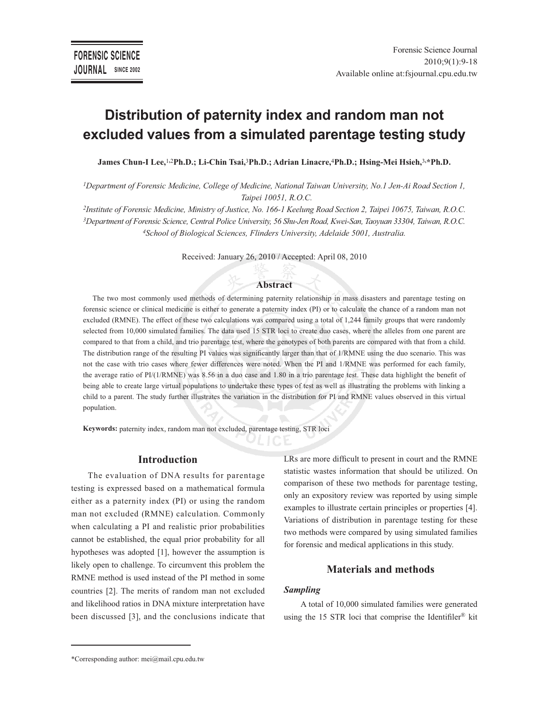# **Distribution of paternity index and random man not excluded values from a simulated parentage testing study**

**James Chun-I Lee,**<sup>1</sup>**,**<sup>2</sup>**Ph.D.; Li-Chin Tsai,**<sup>3</sup>**Ph.D.; Adrian Linacre,**<sup>4</sup>**Ph.D.; Hsing-Mei Hsieh,**<sup>3</sup>**,\*Ph.D.**

*<sup>1</sup>Department of Forensic Medicine, College of Medicine, National Taiwan University, No.1 Jen-Ai Road Section 1, Taipei 10051, R.O.C.*

*2 Institute of Forensic Medicine, Ministry of Justice, No. 166-1 Keelung Road Section 2, Taipei 10675, Taiwan, R.O.C. <sup>3</sup>Department of Forensic Science, Central Police University, 56 Shu-Jen Road, Kwei-San, Taoyuan 33304, Taiwan, R.O.C. <sup>4</sup>School of Biological Sciences, Flinders University, Adelaide 5001, Australia.*

Received: January 26, 2010 / Accepted: April 08, 2010

#### **Abstract**

The two most commonly used methods of determining paternity relationship in mass disasters and parentage testing on forensic science or clinical medicine is either to generate a paternity index (PI) or to calculate the chance of a random man not excluded (RMNE). The effect of these two calculations was compared using a total of 1,244 family groups that were randomly selected from 10,000 simulated families. The data used 15 STR loci to create duo cases, where the alleles from one parent are compared to that from a child, and trio parentage test, where the genotypes of both parents are compared with that from a child. The distribution range of the resulting PI values was significantly larger than that of 1/RMNE using the duo scenario. This was not the case with trio cases where fewer differences were noted. When the PI and 1/RMNE was performed for each family, the average ratio of PI/(1/RMNE) was 8.56 in a duo case and 1.80 in a trio parentage test. These data highlight the benefit of being able to create large virtual populations to undertake these types of test as well as illustrating the problems with linking a child to a parent. The study further illustrates the variation in the distribution for PI and RMNE values observed in this virtual population.

**Keywords:** paternity index, random man not excluded, parentage testing, STR loci

## **Introduction**

The evaluation of DNA results for parentage testing is expressed based on a mathematical formula either as a paternity index (PI) or using the random man not excluded (RMNE) calculation. Commonly when calculating a PI and realistic prior probabilities cannot be established, the equal prior probability for all hypotheses was adopted [1], however the assumption is likely open to challenge. To circumvent this problem the RMNE method is used instead of the PI method in some countries [2]. The merits of random man not excluded and likelihood ratios in DNA mixture interpretation have been discussed [3], and the conclusions indicate that LRs are more difficult to present in court and the RMNE statistic wastes information that should be utilized. On comparison of these two methods for parentage testing, only an expository review was reported by using simple examples to illustrate certain principles or properties [4]. Variations of distribution in parentage testing for these two methods were compared by using simulated families for forensic and medical applications in this study.

## **Materials and methods**

## *Sampling*

A total of 10,000 simulated families were generated using the 15 STR loci that comprise the Identifiler® kit

<sup>\*</sup>Corresponding author: mei@mail.cpu.edu.tw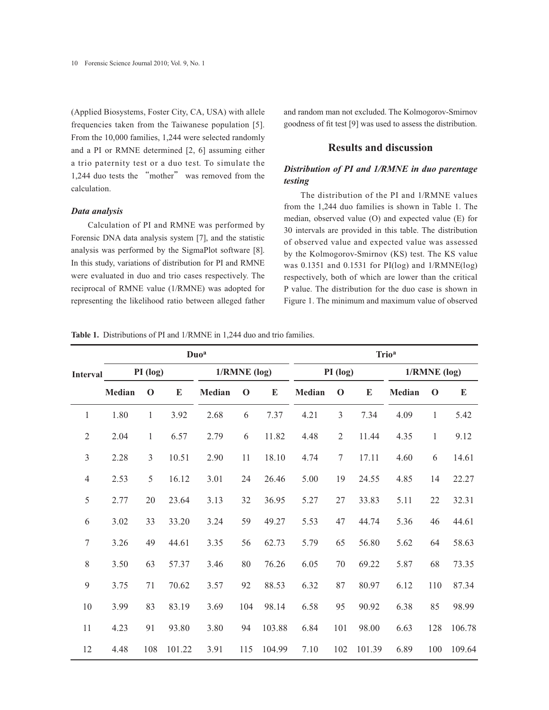(Applied Biosystems, Foster City, CA, USA) with allele frequencies taken from the Taiwanese population [5]. From the 10,000 families, 1,244 were selected randomly and a PI or RMNE determined [2, 6] assuming either a trio paternity test or a duo test. To simulate the 1,244 duo tests the "mother" was removed from the calculation.

#### *Data analysis*

Calculation of PI and RMNE was performed by Forensic DNA data analysis system [7], and the statistic analysis was performed by the SigmaPlot software [8]. In this study, variations of distribution for PI and RMNE were evaluated in duo and trio cases respectively. The reciprocal of RMNE value (1/RMNE) was adopted for representing the likelihood ratio between alleged father and random man not excluded. The Kolmogorov-Smirnov goodness of fit test [9] was used to assess the distribution.

# **Results and discussion**

# *Distribution of PI and 1/RMNE in duo parentage testing*

The distribution of the PI and 1/RMNE values from the 1,244 duo families is shown in Table 1. The median, observed value (O) and expected value (E) for 30 intervals are provided in this table. The distribution of observed value and expected value was assessed by the Kolmogorov-Smirnov (KS) test. The KS value was 0.1351 and 0.1531 for PI(log) and 1/RMNE(log) respectively, both of which are lower than the critical P value. The distribution for the duo case is shown in Figure 1. The minimum and maximum value of observed

**Table 1.** Distributions of PI and 1/RMNE in 1,244 duo and trio families.

|                 |               |              | Duo <sup>a</sup> |                | <b>Trio<sup>a</sup></b> |           |               |                |        |                |              |           |
|-----------------|---------------|--------------|------------------|----------------|-------------------------|-----------|---------------|----------------|--------|----------------|--------------|-----------|
| <b>Interval</b> | PI (log)      |              |                  | $1/RMNE$ (log) |                         |           | PI (log)      |                |        | $1/RMNE$ (log) |              |           |
|                 | <b>Median</b> | $\mathbf 0$  | E                | <b>Median</b>  | $\mathbf 0$             | ${\bf E}$ | <b>Median</b> | $\mathbf 0$    | E      | <b>Median</b>  | $\mathbf 0$  | ${\bf E}$ |
| $\mathbf{1}$    | 1.80          | $\mathbf{1}$ | 3.92             | 2.68           | 6                       | 7.37      | 4.21          | 3              | 7.34   | 4.09           | $\mathbf{1}$ | 5.42      |
| $\mathfrak{2}$  | 2.04          | $\mathbf{1}$ | 6.57             | 2.79           | 6                       | 11.82     | 4.48          | $\overline{2}$ | 11.44  | 4.35           | 1            | 9.12      |
| $\mathfrak{Z}$  | 2.28          | 3            | 10.51            | 2.90           | 11                      | 18.10     | 4.74          | $\overline{7}$ | 17.11  | 4.60           | 6            | 14.61     |
| $\overline{4}$  | 2.53          | 5            | 16.12            | 3.01           | 24                      | 26.46     | 5.00          | 19             | 24.55  | 4.85           | 14           | 22.27     |
| 5               | 2.77          | 20           | 23.64            | 3.13           | 32                      | 36.95     | 5.27          | 27             | 33.83  | 5.11           | 22           | 32.31     |
| 6               | 3.02          | 33           | 33.20            | 3.24           | 59                      | 49.27     | 5.53          | 47             | 44.74  | 5.36           | 46           | 44.61     |
| $\overline{7}$  | 3.26          | 49           | 44.61            | 3.35           | 56                      | 62.73     | 5.79          | 65             | 56.80  | 5.62           | 64           | 58.63     |
| 8               | 3.50          | 63           | 57.37            | 3.46           | 80                      | 76.26     | 6.05          | 70             | 69.22  | 5.87           | 68           | 73.35     |
| 9               | 3.75          | 71           | 70.62            | 3.57           | 92                      | 88.53     | 6.32          | 87             | 80.97  | 6.12           | 110          | 87.34     |
| 10              | 3.99          | 83           | 83.19            | 3.69           | 104                     | 98.14     | 6.58          | 95             | 90.92  | 6.38           | 85           | 98.99     |
| 11              | 4.23          | 91           | 93.80            | 3.80           | 94                      | 103.88    | 6.84          | 101            | 98.00  | 6.63           | 128          | 106.78    |
| 12              | 4.48          | 108          | 101.22           | 3.91           | 115                     | 104.99    | 7.10          | 102            | 101.39 | 6.89           | 100          | 109.64    |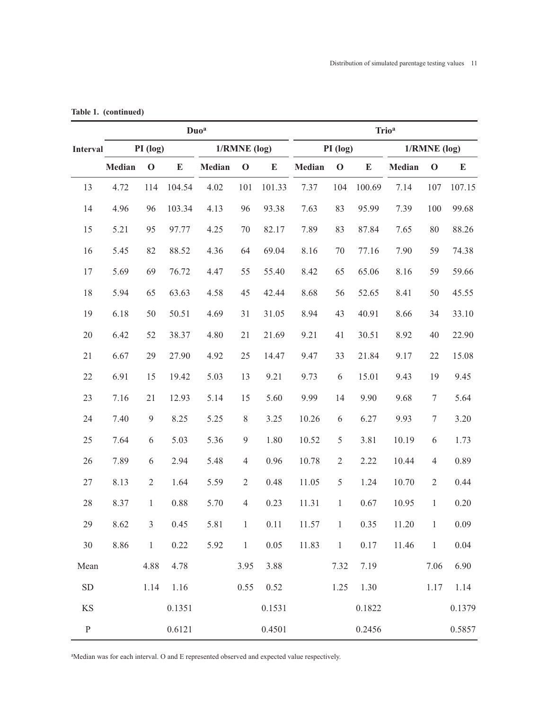|              |        |                | Duo <sup>a</sup> |        | <b>Trio<sup>a</sup></b> |           |             |                |        |               |                  |           |  |
|--------------|--------|----------------|------------------|--------|-------------------------|-----------|-------------|----------------|--------|---------------|------------------|-----------|--|
| Interval     |        | PI (log)       |                  |        | $1/RMNE$ (log)          |           |             | PI (log)       |        |               | $1/RMNE$ (log)   |           |  |
|              | Median | $\mathbf 0$    | E                | Median | $\mathbf 0$             | ${\bf E}$ | Median      | $\mathbf 0$    | E      | <b>Median</b> | $\mathbf 0$      | ${\bf E}$ |  |
| 13           | 4.72   | 114            | 104.54           | 4.02   | 101                     | 101.33    | 7.37        | 104            | 100.69 | 7.14          | 107              | 107.15    |  |
| 14           | 4.96   | 96             | 103.34           | 4.13   | 96                      | 93.38     | 7.63        | 83             | 95.99  | 7.39          | 100              | 99.68     |  |
| 15           | 5.21   | 95             | 97.77            | 4.25   | $70\,$                  | 82.17     | 7.89        | 83             | 87.84  | 7.65          | 80               | 88.26     |  |
| 16           | 5.45   | 82             | 88.52            | 4.36   | 64                      | 69.04     | 8.16        | $70\,$         | 77.16  | 7.90          | 59               | 74.38     |  |
| 17           | 5.69   | 69             | 76.72            | 4.47   | 55                      | 55.40     | 8.42        | 65             | 65.06  | 8.16          | 59               | 59.66     |  |
| 18           | 5.94   | 65             | 63.63            | 4.58   | 45                      | 42.44     | 8.68        | 56             | 52.65  | 8.41          | 50               | 45.55     |  |
| 19           | 6.18   | 50             | 50.51            | 4.69   | 31                      | 31.05     | 8.94        | 43             | 40.91  | 8.66          | 34               | 33.10     |  |
| 20           | 6.42   | 52             | 38.37            | 4.80   | 21                      | 21.69     | 9.21        | 41             | 30.51  | 8.92          | 40               | 22.90     |  |
| 21           | 6.67   | 29             | 27.90            | 4.92   | 25                      | 14.47     | 9.47        | 33             | 21.84  | 9.17          | 22               | 15.08     |  |
| 22           | 6.91   | 15             | 19.42            | 5.03   | 13                      | 9.21      | 9.73        | 6              | 15.01  | 9.43          | 19               | 9.45      |  |
| 23           | 7.16   | 21             | 12.93            | 5.14   | 15                      | 5.60      | 9.99        | 14             | 9.90   | 9.68          | $\boldsymbol{7}$ | 5.64      |  |
| 24           | 7.40   | 9              | 8.25             | 5.25   | $8\,$                   | 3.25      | 10.26       | 6              | 6.27   | 9.93          | $\tau$           | 3.20      |  |
| 25           | 7.64   | 6              | 5.03             | 5.36   | 9                       | 1.80      | 10.52       | $\mathfrak s$  | 3.81   | 10.19         | 6                | 1.73      |  |
| 26           | 7.89   | 6              | 2.94             | 5.48   | $\overline{4}$          | 0.96      | 10.78       | $\overline{2}$ | 2.22   | 10.44         | $\overline{4}$   | 0.89      |  |
| 27           | 8.13   | $\overline{2}$ | 1.64             | 5.59   | $\overline{2}$          | 0.48      | 11.05       | 5              | 1.24   | 10.70         | $\overline{2}$   | 0.44      |  |
| 28           | 8.37   | $\mathbf{1}$   | 0.88             | 5.70   | $\overline{4}$          | 0.23      | 11.31       | $\mathbf{1}$   | 0.67   | 10.95         | $\mathbf{1}$     | 0.20      |  |
| 29           | 8.62   | $\overline{3}$ | 0.45             | 5.81   | $\mathbf{1}$            | 0.11      | 11.57       | $\mathbf{1}$   | 0.35   | 11.20         | $\mathbf{1}$     | 0.09      |  |
| 30           | 8.86   | $\mathbf{1}$   | 0.22             | 5.92   | $\overline{1}$          | 0.05      | $11.83 \t1$ |                | 0.17   | 11.46         | $\mathbf{1}$     | 0.04      |  |
| Mean         |        | 4.88           | 4.78             |        | 3.95                    | 3.88      |             | 7.32           | 7.19   |               | 7.06             | 6.90      |  |
| ${\rm SD}$   |        | 1.14           | 1.16             |        | 0.55                    | 0.52      |             | 1.25           | 1.30   |               | 1.17             | 1.14      |  |
| $\rm KS$     |        |                | 0.1351           |        |                         | 0.1531    |             |                | 0.1822 |               |                  | 0.1379    |  |
| $\, {\bf P}$ |        |                | 0.6121           |        |                         | 0.4501    |             |                | 0.2456 |               |                  | 0.5857    |  |

**Table 1. (continued)**

aMedian was for each interval. O and E represented observed and expected value respectively.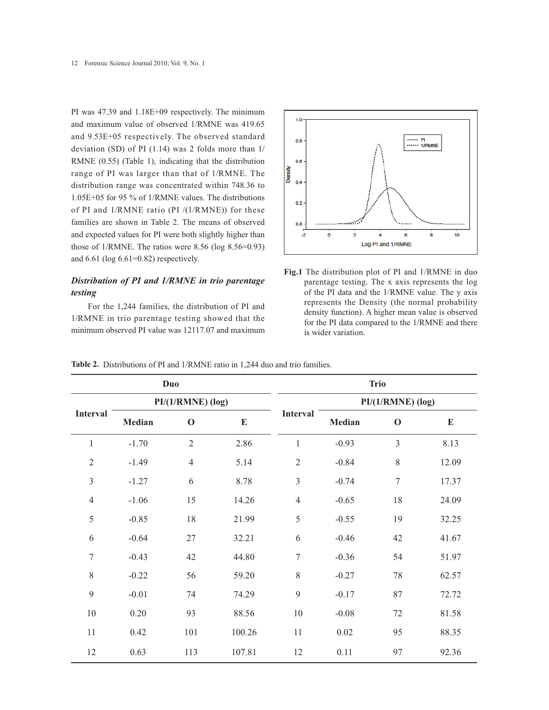PI was 47.39 and 1.18E+09 respectively. The minimum and maximum value of observed 1/RMNE was 419.65 and 9.53E+05 respectively. The observed standard deviation (SD) of PI (1.14) was 2 folds more than 1/ RMNE (0.55) (Table 1), indicating that the distribution range of PI was larger than that of 1/RMNE. The distribution range was concentrated within 748.36 to 1.05E+05 for 95 % of 1/RMNE values. The distributions of PI and 1/RMNE ratio (PI /(1/RMNE)) for these families are shown in Table 2. The means of observed and expected values for PI were both slightly higher than those of 1/RMNE. The ratios were 8.56 (log 8.56=0.93) and 6.61 (log 6.61=0.82) respectively.

# *Distribution of PI and 1/RMNE in trio parentage testing*

For the 1,244 families, the distribution of PI and 1/RMNE in trio parentage testing showed that the minimum observed PI value was 12117.07 and maximum



**Fig.1** The distribution plot of PI and 1/RMNE in duo parentage testing. The x axis represents the log of the PI data and the 1/RMNE value. The y axis represents the Density (the normal probability density function). A higher mean value is observed for the PI data compared to the 1/RMNE and there is wider variation.

|                 |         | <b>Duo</b>          |           | <b>Trio</b>     |                     |                  |           |  |  |
|-----------------|---------|---------------------|-----------|-----------------|---------------------|------------------|-----------|--|--|
|                 |         | $PI/(1/RMNE)$ (log) |           |                 | $PI/(1/RMNE)$ (log) |                  |           |  |  |
| <b>Interval</b> | Median  | $\mathbf 0$         | ${\bf E}$ | <b>Interval</b> | Median              | $\mathbf 0$      | ${\bf E}$ |  |  |
| $\mathbf{1}$    | $-1.70$ | $\sqrt{2}$          | 2.86      | $\mathbf{1}$    | $-0.93$             | 3                | 8.13      |  |  |
| $\sqrt{2}$      | $-1.49$ | $\overline{4}$      | 5.14      | $\sqrt{2}$      | $-0.84$             | 8                | 12.09     |  |  |
| $\mathfrak{Z}$  | $-1.27$ | 6                   | 8.78      | $\mathfrak{Z}$  | $-0.74$             | $\boldsymbol{7}$ | 17.37     |  |  |
| $\overline{4}$  | $-1.06$ | 15                  | 14.26     | $\overline{4}$  | $-0.65$             | 18               | 24.09     |  |  |
| 5               | $-0.85$ | 18                  | 21.99     | 5               | $-0.55$             | 19               | 32.25     |  |  |
| 6               | $-0.64$ | 27                  | 32.21     | 6               | $-0.46$             | 42               | 41.67     |  |  |
| $\tau$          | $-0.43$ | 42                  | 44.80     | $\tau$          | $-0.36$             | 54               | 51.97     |  |  |
| 8               | $-0.22$ | 56                  | 59.20     | $\,8\,$         | $-0.27$             | 78               | 62.57     |  |  |
| 9               | $-0.01$ | 74                  | 74.29     | 9               | $-0.17$             | 87               | 72.72     |  |  |
| $10\,$          | 0.20    | 93                  | 88.56     | $10\,$          | $-0.08$             | 72               | 81.58     |  |  |
| 11              | 0.42    | 101                 | 100.26    | 11              | 0.02                | 95               | 88.35     |  |  |
| 12              | 0.63    | 113                 | 107.81    | 12              | 0.11                | 97               | 92.36     |  |  |

**Table 2.** Distributions of PI and 1/RMNE ratio in 1,244 duo and trio families.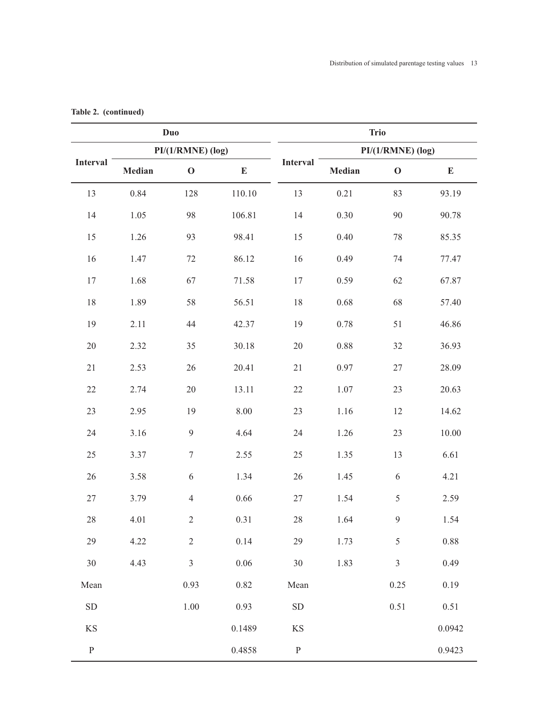|               |        | <b>Duo</b>          |           | <b>Trio</b> |                     |                |           |  |  |  |
|---------------|--------|---------------------|-----------|-------------|---------------------|----------------|-----------|--|--|--|
|               |        | $PI/(1/RMNE)$ (log) |           |             | $PI/(1/RMNE)$ (log) |                |           |  |  |  |
| Interval      | Median | $\mathbf O$         | ${\bf E}$ | Interval    | Median              | $\mathbf O$    | ${\bf E}$ |  |  |  |
| 13            | 0.84   | 128                 | 110.10    | 13          | 0.21                | 83             | 93.19     |  |  |  |
| 14            | 1.05   | 98                  | 106.81    | 14          | 0.30                | 90             | 90.78     |  |  |  |
| 15            | 1.26   | 93                  | 98.41     | 15          | $0.40\,$            | $78\,$         | 85.35     |  |  |  |
| 16            | 1.47   | $72\,$              | 86.12     | 16          | 0.49                | 74             | 77.47     |  |  |  |
| $17$          | 1.68   | 67                  | 71.58     | $17\,$      | 0.59                | 62             | 67.87     |  |  |  |
| $18\,$        | 1.89   | 58                  | 56.51     | $18\,$      | 0.68                | 68             | 57.40     |  |  |  |
| 19            | 2.11   | 44                  | 42.37     | 19          | 0.78                | 51             | 46.86     |  |  |  |
| $20\,$        | 2.32   | 35                  | 30.18     | $20\,$      | $0.88\,$            | 32             | 36.93     |  |  |  |
| $21\,$        | 2.53   | 26                  | 20.41     | 21          | 0.97                | $27\,$         | 28.09     |  |  |  |
| $22\,$        | 2.74   | $20\,$              | 13.11     | $22\,$      | 1.07                | 23             | 20.63     |  |  |  |
| 23            | 2.95   | 19                  | 8.00      | 23          | 1.16                | 12             | 14.62     |  |  |  |
| 24            | 3.16   | $\overline{9}$      | 4.64      | 24          | 1.26                | 23             | 10.00     |  |  |  |
| 25            | 3.37   | $\boldsymbol{7}$    | 2.55      | 25          | 1.35                | 13             | 6.61      |  |  |  |
| 26            | 3.58   | $\sqrt{6}$          | 1.34      | 26          | 1.45                | 6              | 4.21      |  |  |  |
| $27\,$        | 3.79   | $\overline{4}$      | 0.66      | $27\,$      | 1.54                | $\sqrt{5}$     | 2.59      |  |  |  |
| $28\,$        | 4.01   | 2                   | 0.31      | 28          | 1.64                | $\overline{9}$ | 1.54      |  |  |  |
| 29            | 4.22   | $\overline{2}$      | 0.14      | 29          | 1.73                | 5              | 0.88      |  |  |  |
| 30            | 4.43   | $\mathfrak{Z}$      | $0.06\,$  | 30          | 1.83                | $\mathfrak{Z}$ | 0.49      |  |  |  |
| Mean          |        | 0.93                | 0.82      | Mean        |                     | 0.25           | 0.19      |  |  |  |
| ${\rm SD}$    |        | 1.00                | 0.93      | ${\rm SD}$  |                     | 0.51           | 0.51      |  |  |  |
| $\mathbf{KS}$ |        |                     | 0.1489    | KS          |                     |                | 0.0942    |  |  |  |
| ${\bf P}$     |        |                     | 0.4858    | ${\bf P}$   |                     |                | 0.9423    |  |  |  |

# **Table 2. (continued)**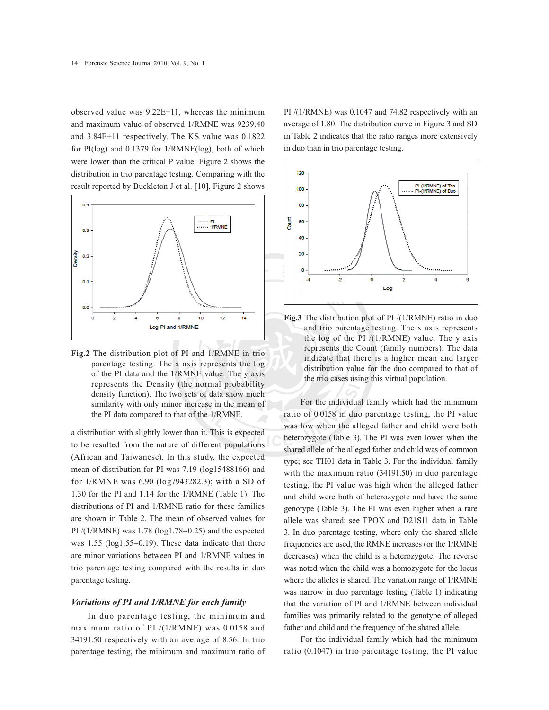observed value was 9.22E+11, whereas the minimum and maximum value of observed 1/RMNE was 9239.40 and 3.84E+11 respectively. The KS value was 0.1822 for PI(log) and 0.1379 for 1/RMNE(log), both of which were lower than the critical P value. Figure 2 shows the distribution in trio parentage testing. Comparing with the result reported by Buckleton J et al. [10], Figure 2 shows



**Fig.2** The distribution plot of PI and 1/RMNE in trio parentage testing. The x axis represents the log of the PI data and the 1/RMNE value. The y axis represents the Density (the normal probability density function). The two sets of data show much similarity with only minor increase in the mean of the PI data compared to that of the 1/RMNE.

a distribution with slightly lower than it. This is expected to be resulted from the nature of different populations (African and Taiwanese). In this study, the expected mean of distribution for PI was 7.19 (log15488166) and for 1/RMNE was 6.90 (log7943282.3); with a SD of 1.30 for the PI and 1.14 for the 1/RMNE (Table 1). The distributions of PI and 1/RMNE ratio for these families are shown in Table 2. The mean of observed values for PI /(1/RMNE) was 1.78 (log1.78=0.25) and the expected was 1.55 (log1.55=0.19). These data indicate that there are minor variations between PI and 1/RMNE values in trio parentage testing compared with the results in duo parentage testing.

#### *Variations of PI and 1/RMNE for each family*

In duo parentage testing, the minimum and maximum ratio of PI /(1/RMNE) was 0.0158 and 34191.50 respectively with an average of 8.56. In trio parentage testing, the minimum and maximum ratio of PI /(1/RMNE) was 0.1047 and 74.82 respectively with an average of 1.80. The distribution curve in Figure 3 and SD in Table 2 indicates that the ratio ranges more extensively in duo than in trio parentage testing.



**Fig.3** The distribution plot of PI /(1/RMNE) ratio in duo and trio parentage testing. The x axis represents the log of the PI  $/(1/RMNE)$  value. The y axis represents the Count (family numbers). The data indicate that there is a higher mean and larger distribution value for the duo compared to that of the trio cases using this virtual population.

For the individual family which had the minimum ratio of 0.0158 in duo parentage testing, the PI value was low when the alleged father and child were both heterozygote (Table 3). The PI was even lower when the shared allele of the alleged father and child was of common type; see TH01 data in Table 3. For the individual family with the maximum ratio (34191.50) in duo parentage testing, the PI value was high when the alleged father and child were both of heterozygote and have the same genotype (Table 3). The PI was even higher when a rare allele was shared; see TPOX and D21S11 data in Table 3. In duo parentage testing, where only the shared allele frequencies are used, the RMNE increases (or the 1/RMNE decreases) when the child is a heterozygote. The reverse was noted when the child was a homozygote for the locus where the alleles is shared. The variation range of 1/RMNE was narrow in duo parentage testing (Table 1) indicating that the variation of PI and 1/RMNE between individual families was primarily related to the genotype of alleged father and child and the frequency of the shared allele.

For the individual family which had the minimum ratio (0.1047) in trio parentage testing, the PI value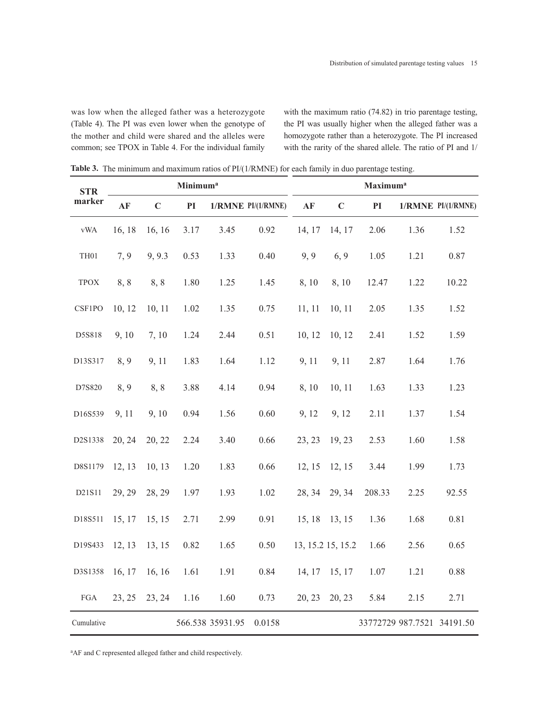was low when the alleged father was a heterozygote (Table 4). The PI was even lower when the genotype of the mother and child were shared and the alleles were common; see TPOX in Table 4. For the individual family

with the maximum ratio (74.82) in trio parentage testing, the PI was usually higher when the alleged father was a homozygote rather than a heterozygote. The PI increased with the rarity of the shared allele. The ratio of PI and 1/

**Table 3.** The minimum and maximum ratios of PI/(1/RMNE) for each family in duo parentage testing.

| <b>STR</b>      | <b>Minimum</b> <sup>a</sup> |             |      |                  |                    |        | <b>Maximum</b> <sup>a</sup> |        |                            |                    |  |
|-----------------|-----------------------------|-------------|------|------------------|--------------------|--------|-----------------------------|--------|----------------------------|--------------------|--|
| marker          | AF                          | $\mathbf C$ | PI   |                  | 1/RMNE PI/(1/RMNE) | AF     | $\mathbf C$                 | PI     |                            | 1/RMNE PI/(1/RMNE) |  |
| <b>vWA</b>      | 16, 18                      | 16, 16      | 3.17 | 3.45             | 0.92               | 14, 17 | 14, 17                      | 2.06   | 1.36                       | 1.52               |  |
| $\mathrm{TH}01$ | 7, 9                        | 9, 9.3      | 0.53 | 1.33             | 0.40               | 9, 9   | 6, 9                        | 1.05   | 1.21                       | 0.87               |  |
| <b>TPOX</b>     | 8,8                         | 8,8         | 1.80 | 1.25             | 1.45               | 8, 10  | 8,10                        | 12.47  | 1.22                       | 10.22              |  |
| CSF1PO          | 10, 12                      | 10, 11      | 1.02 | 1.35             | 0.75               | 11, 11 | 10, 11                      | 2.05   | 1.35                       | 1.52               |  |
| D5S818          | 9,10                        | 7, 10       | 1.24 | 2.44             | 0.51               | 10, 12 | 10, 12                      | 2.41   | 1.52                       | 1.59               |  |
| D13S317         | 8, 9                        | 9, 11       | 1.83 | 1.64             | 1.12               | 9, 11  | 9, 11                       | 2.87   | 1.64                       | 1.76               |  |
| D7S820          | 8, 9                        | 8,8         | 3.88 | 4.14             | 0.94               | 8,10   | 10, 11                      | 1.63   | 1.33                       | 1.23               |  |
| D16S539         | 9, 11                       | 9, 10       | 0.94 | 1.56             | 0.60               | 9, 12  | 9, 12                       | 2.11   | 1.37                       | 1.54               |  |
| D2S1338         | 20, 24                      | 20, 22      | 2.24 | 3.40             | 0.66               | 23, 23 | 19, 23                      | 2.53   | 1.60                       | 1.58               |  |
| D8S1179         | 12, 13                      | 10, 13      | 1.20 | 1.83             | 0.66               | 12, 15 | 12, 15                      | 3.44   | 1.99                       | 1.73               |  |
| D21S11          | 29, 29                      | 28, 29      | 1.97 | 1.93             | 1.02               | 28, 34 | 29, 34                      | 208.33 | 2.25                       | 92.55              |  |
| D18S511         | 15, 17                      | 15, 15      | 2.71 | 2.99             | 0.91               | 15, 18 | 13, 15                      | 1.36   | 1.68                       | 0.81               |  |
| D19S433         | 12, 13                      | 13, 15      | 0.82 | 1.65             | 0.50               |        | 13, 15.2 15, 15.2           | 1.66   | 2.56                       | 0.65               |  |
| D3S1358         | 16, 17                      | 16, 16      | 1.61 | 1.91             | 0.84               | 14, 17 | 15, 17                      | 1.07   | 1.21                       | 0.88               |  |
| ${\rm FGA}$     | 23, 25                      | 23, 24      | 1.16 | 1.60             | 0.73               | 20, 23 | 20, 23                      | 5.84   | 2.15                       | 2.71               |  |
| Cumulative      |                             |             |      | 566.538 35931.95 | 0.0158             |        |                             |        | 33772729 987.7521 34191.50 |                    |  |

<sup>a</sup>AF and C represented alleged father and child respectively.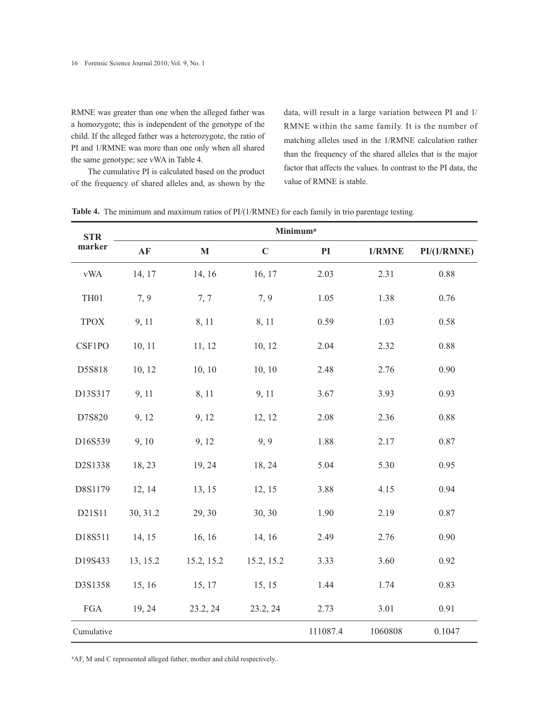RMNE was greater than one when the alleged father was a homozygote; this is independent of the genotype of the child. If the alleged father was a heterozygote, the ratio of PI and 1/RMNE was more than one only when all shared the same genotype; see vWA in Table 4.

The cumulative PI is calculated based on the product of the frequency of shared alleles and, as shown by the

data, will result in a large variation between PI and 1/ RMNE within the same family. It is the number of matching alleles used in the 1/RMNE calculation rather than the frequency of the shared alleles that is the major factor that affects the values. In contrast to the PI data, the value of RMNE is stable.

| <b>STR</b>                | Minimum <sup>a</sup> |             |             |          |         |             |  |  |  |  |  |
|---------------------------|----------------------|-------------|-------------|----------|---------|-------------|--|--|--|--|--|
| marker                    | AF                   | $\mathbf M$ | $\mathbf C$ | PI       | 1/RMNE  | PI/(1/RMNE) |  |  |  |  |  |
| $\ensuremath{\text{vWA}}$ | 14, 17               | 14, 16      | 16, 17      | 2.03     | 2.31    | 0.88        |  |  |  |  |  |
| TH01                      | 7, 9                 | 7, 7        | 7, 9        | 1.05     | 1.38    | 0.76        |  |  |  |  |  |
| <b>TPOX</b>               | 9, 11                | 8, 11       | 8, 11       | 0.59     | 1.03    | 0.58        |  |  |  |  |  |
| CSF1PO                    | 10, 11               | 11, 12      | 10, 12      | 2.04     | 2.32    | 0.88        |  |  |  |  |  |
| D5S818                    | 10, 12               | 10, 10      | 10, 10      | 2.48     | 2.76    | 0.90        |  |  |  |  |  |
| D13S317                   | 9, 11                | 8, 11       | 9, 11       | 3.67     | 3.93    | 0.93        |  |  |  |  |  |
| D7S820                    | 9, 12                | 9, 12       | 12, 12      | 2.08     | 2.36    | 0.88        |  |  |  |  |  |
| D16S539                   | 9, 10                | 9, 12       | 9, 9        | 1.88     | 2.17    | 0.87        |  |  |  |  |  |
| D2S1338                   | 18, 23               | 19, 24      | 18, 24      | 5.04     | 5.30    | 0.95        |  |  |  |  |  |
| D8S1179                   | 12, 14               | 13, 15      | 12, 15      | 3.88     | 4.15    | 0.94        |  |  |  |  |  |
| D21S11                    | 30, 31.2             | 29, 30      | 30, 30      | 1.90     | 2.19    | 0.87        |  |  |  |  |  |
| D18S511                   | 14, 15               | 16, 16      | 14, 16      | 2.49     | 2.76    | 0.90        |  |  |  |  |  |
| D19S433                   | 13, 15.2             | 15.2, 15.2  | 15.2, 15.2  | 3.33     | 3.60    | 0.92        |  |  |  |  |  |
| D3S1358                   | 15, 16               | 15, 17      | 15, 15      | 1.44     | 1.74    | 0.83        |  |  |  |  |  |
| ${\rm FGA}$               | 19, 24               | 23.2, 24    | 23.2, 24    | 2.73     | 3.01    | 0.91        |  |  |  |  |  |
| Cumulative                |                      |             |             | 111087.4 | 1060808 | 0.1047      |  |  |  |  |  |

**Table 4.** The minimum and maximum ratios of PI/(1/RMNE) for each family in trio parentage testing.

<sup>a</sup>AF, M and C represented alleged father, mother and child respectively..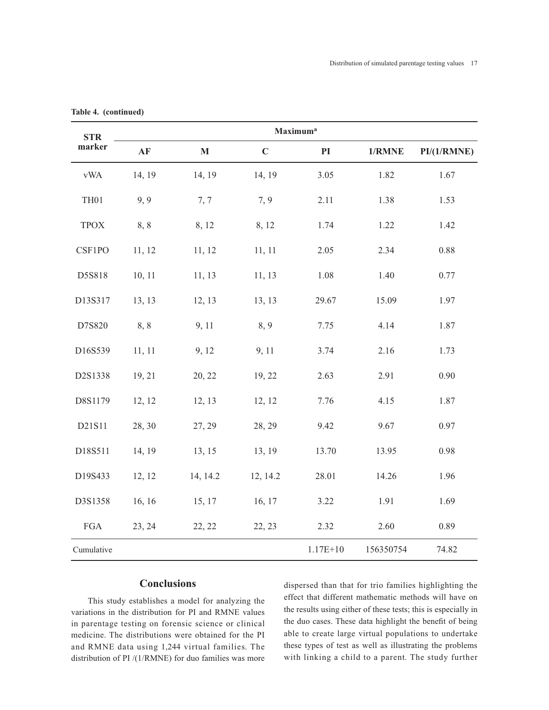| <b>STR</b>                | Maximum <sup>a</sup> |             |             |               |           |             |  |  |  |  |
|---------------------------|----------------------|-------------|-------------|---------------|-----------|-------------|--|--|--|--|
| marker                    | AF                   | $\mathbf M$ | $\mathbf C$ | $\mathbf{PI}$ | $1/RMNE$  | PI/(1/RMNE) |  |  |  |  |
| $\ensuremath{\text{vWA}}$ | 14, 19               | 14, 19      | 14, 19      | 3.05          | 1.82      | 1.67        |  |  |  |  |
| TH <sub>01</sub>          | 9, 9                 | 7,7         | 7, 9        | 2.11          | 1.38      | 1.53        |  |  |  |  |
| <b>TPOX</b>               | 8,8                  | 8, 12       | 8, 12       | 1.74          | 1.22      | 1.42        |  |  |  |  |
| CSF1PO                    | 11, 12               | 11, 12      | 11, 11      | 2.05          | 2.34      | 0.88        |  |  |  |  |
| D5S818                    | 10, 11               | 11, 13      | 11, 13      | 1.08          | 1.40      | 0.77        |  |  |  |  |
| D13S317                   | 13, 13               | 12, 13      | 13, 13      | 29.67         | 15.09     | 1.97        |  |  |  |  |
| D7S820                    | 8,8                  | 9, 11       | 8,9         | 7.75          | 4.14      | 1.87        |  |  |  |  |
| D16S539                   | 11, 11               | 9, 12       | 9, 11       | 3.74          | 2.16      | 1.73        |  |  |  |  |
| D2S1338                   | 19, 21               | 20, 22      | 19, 22      | 2.63          | 2.91      | 0.90        |  |  |  |  |
| D8S1179                   | 12, 12               | 12, 13      | 12, 12      | 7.76          | 4.15      | 1.87        |  |  |  |  |
| D21S11                    | 28, 30               | 27, 29      | 28, 29      | 9.42          | 9.67      | 0.97        |  |  |  |  |
| D18S511                   | 14, 19               | 13, 15      | 13, 19      | 13.70         | 13.95     | 0.98        |  |  |  |  |
| D19S433                   | 12, 12               | 14, 14.2    | 12, 14.2    | 28.01         | 14.26     | 1.96        |  |  |  |  |
| D3S1358                   | 16, 16               | 15, 17      | 16, 17      | 3.22          | 1.91      | 1.69        |  |  |  |  |
| ${\rm FGA}$               | 23, 24               | 22, 22      | 22, 23      | 2.32          | 2.60      | 0.89        |  |  |  |  |
| Cumulative                |                      |             |             | $1.17E + 10$  | 156350754 | 74.82       |  |  |  |  |

**Table 4. (continued)**

## **Conclusions**

This study establishes a model for analyzing the variations in the distribution for PI and RMNE values in parentage testing on forensic science or clinical medicine. The distributions were obtained for the PI and RMNE data using 1,244 virtual families. The distribution of PI /(1/RMNE) for duo families was more dispersed than that for trio families highlighting the effect that different mathematic methods will have on the results using either of these tests; this is especially in the duo cases. These data highlight the benefit of being able to create large virtual populations to undertake these types of test as well as illustrating the problems with linking a child to a parent. The study further